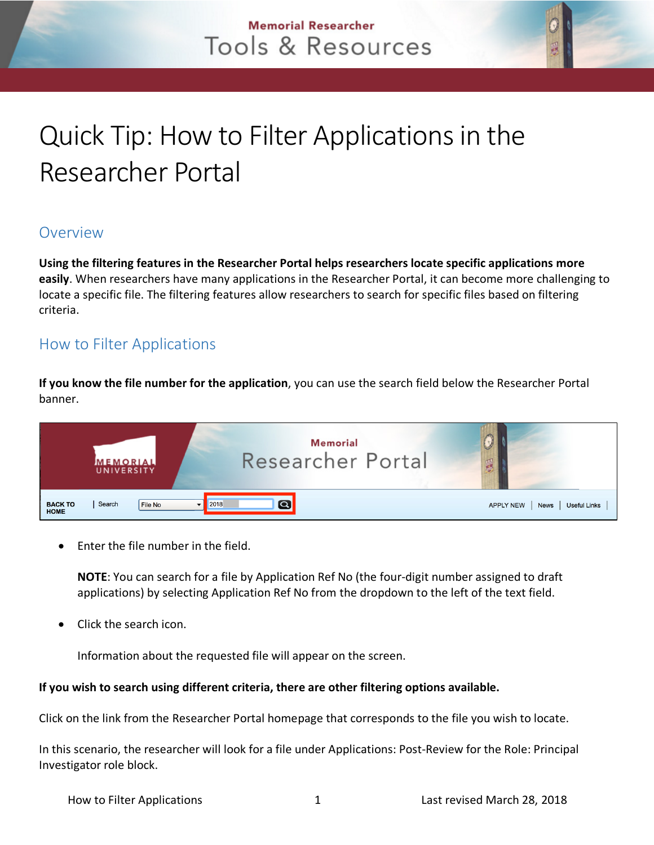## **Memorial Researcher** Tools & Resources

# Quick Tip: How to Filter Applications in the Researcher Portal

### **Overview**

**Using the filtering features in the Researcher Portal helps researchers locate specific applications more easily**. When researchers have many applications in the Researcher Portal, it can become more challenging to locate a specific file. The filtering features allow researchers to search for specific files based on filtering criteria.

## How to Filter Applications

**If you know the file number for the application**, you can use the search field below the Researcher Portal banner.



Enter the file number in the field.

**NOTE**: You can search for a file by Application Ref No (the four-digit number assigned to draft applications) by selecting Application Ref No from the dropdown to the left of the text field.

Click the search icon.

Information about the requested file will appear on the screen.

#### **If you wish to search using different criteria, there are other filtering options available.**

Click on the link from the Researcher Portal homepage that corresponds to the file you wish to locate.

In this scenario, the researcher will look for a file under Applications: Post-Review for the Role: Principal Investigator role block.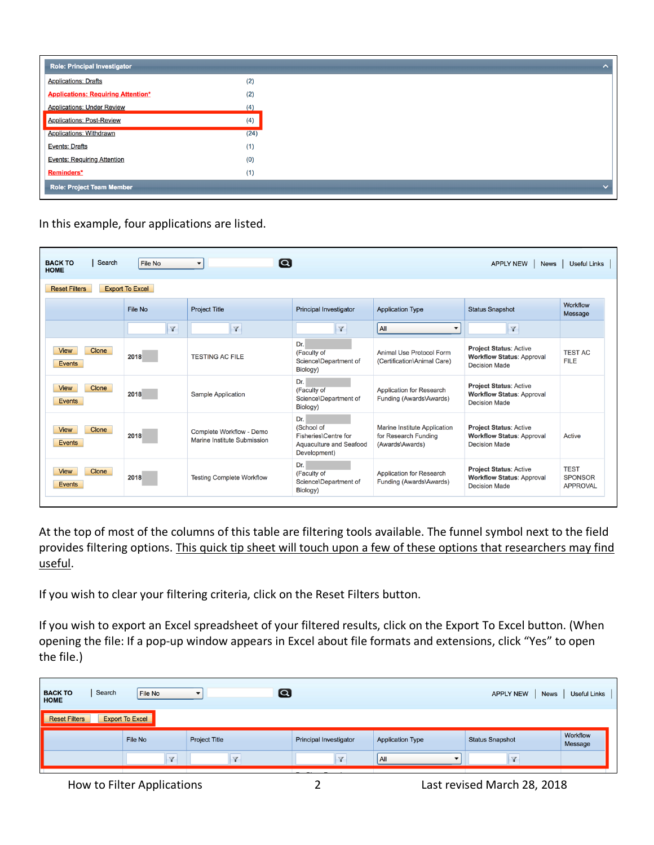| <b>Role: Principal Investigator</b>       |      |
|-------------------------------------------|------|
| <b>Applications: Drafts</b>               | (2)  |
| <b>Applications: Requiring Attention*</b> | (2)  |
| <b>Applications: Under Review</b>         | (4)  |
| <b>Applications: Post-Review</b>          | (4)  |
| <b>Applications: Withdrawn</b>            | (24) |
| <b>Events: Drafts</b>                     | (1)  |
| <b>Events: Requiring Attention</b>        | (0)  |
| Reminders*                                | (1)  |
| <b>Role: Project Team Member</b>          |      |

In this example, four applications are listed.

| Search<br><b>BACK TO</b><br><b>HOME</b>        | <b>APPLY NEW</b><br><b>News</b> | <b>Useful Links</b>                                     |                                                                                      |                                                                         |                                                                                           |                                                  |  |  |  |  |
|------------------------------------------------|---------------------------------|---------------------------------------------------------|--------------------------------------------------------------------------------------|-------------------------------------------------------------------------|-------------------------------------------------------------------------------------------|--------------------------------------------------|--|--|--|--|
| <b>Export To Excel</b><br><b>Reset Filters</b> |                                 |                                                         |                                                                                      |                                                                         |                                                                                           |                                                  |  |  |  |  |
|                                                | File No                         | <b>Project Title</b>                                    | <b>Principal Investigator</b>                                                        | <b>Application Type</b>                                                 | <b>Status Snapshot</b>                                                                    | Workflow<br>Message                              |  |  |  |  |
|                                                | $\triangledown$                 | $\mathbf{v}$                                            | $\mathbf{v}$                                                                         | All<br>▼                                                                | Y                                                                                         |                                                  |  |  |  |  |
| Clone<br><b>View</b><br><b>Events</b>          | 2018                            | <b>TESTING AC FILE</b>                                  | Dr.<br>(Faculty of<br>Science\Department of<br>Biology)                              | Animal Use Protocol Form<br>(Certification\Animal Care)                 | <b>Project Status: Active</b><br><b>Workflow Status: Approval</b><br><b>Decision Made</b> | <b>TEST AC</b><br><b>FILE</b>                    |  |  |  |  |
| <b>View</b><br>Clone<br><b>Events</b>          | 2018                            | <b>Sample Application</b>                               | Dr.<br>(Faculty of<br>Science\Department of<br>Biology)                              | <b>Application for Research</b><br>Funding (Awards\Awards)              | <b>Project Status: Active</b><br><b>Workflow Status: Approval</b><br><b>Decision Made</b> |                                                  |  |  |  |  |
| Clone<br><b>View</b><br><b>Events</b>          | 2018                            | Complete Workflow - Demo<br>Marine Institute Submission | Dr.<br>(School of<br>Fisheries\Centre for<br>Aquaculture and Seafood<br>Development) | Marine Institute Application<br>for Research Funding<br>(Awards\Awards) | <b>Project Status: Active</b><br><b>Workflow Status: Approval</b><br><b>Decision Made</b> | Active                                           |  |  |  |  |
| Clone<br><b>View</b><br><b>Events</b>          | 2018                            | <b>Testing Complete Workflow</b>                        | Dr.<br>(Faculty of<br>Science\Department of<br>Biology)                              | Application for Research<br>Funding (Awards\Awards)                     | <b>Project Status: Active</b><br><b>Workflow Status: Approval</b><br><b>Decision Made</b> | <b>TEST</b><br><b>SPONSOR</b><br><b>APPROVAL</b> |  |  |  |  |

At the top of most of the columns of this table are filtering tools available. The funnel symbol next to the field provides filtering options. This quick tip sheet will touch upon a few of these options that researchers may find useful.

If you wish to clear your filtering criteria, click on the Reset Filters button.

If you wish to export an Excel spreadsheet of your filtered results, click on the Export To Excel button. (When opening the file: If a pop-up window appears in Excel about file formats and extensions, click "Yes" to open the file.)

| $\boldsymbol{\Omega}$<br>Search<br><b>BACK TO</b><br>File No<br><b>APPLY NEW</b><br><b>Useful Links</b><br><b>News</b><br>$\overline{\phantom{a}}$<br><b>HOME</b> |                      |                               |                         |                        |                     |  |  |  |  |
|-------------------------------------------------------------------------------------------------------------------------------------------------------------------|----------------------|-------------------------------|-------------------------|------------------------|---------------------|--|--|--|--|
| <b>Export To Excel</b><br><b>Reset Filters</b>                                                                                                                    |                      |                               |                         |                        |                     |  |  |  |  |
| File No                                                                                                                                                           | <b>Project Title</b> | <b>Principal Investigator</b> | <b>Application Type</b> | <b>Status Snapshot</b> | Workflow<br>Message |  |  |  |  |
|                                                                                                                                                                   | $\triangledown$      | All<br>$\sqrt{}$              |                         | Y                      |                     |  |  |  |  |

How to Filter Applications 2 Last revised March 28, 2018